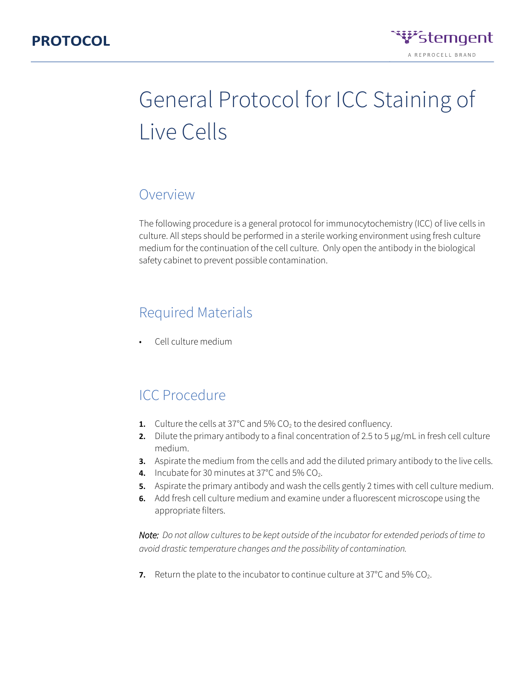

# General Protocol for ICC Staining of Live Cells

### Overview

The following procedure is a general protocol for immunocytochemistry (ICC) of live cells in culture. All steps should be performed in a sterile working environment using fresh culture medium for the continuation of the cell culture. Only open the antibody in the biological safety cabinet to prevent possible contamination.

### Required Materials

• Cell culture medium

## ICC Procedure

- **1.** Culture the cells at 37°C and 5%  $CO<sub>2</sub>$  to the desired confluency.
- **2.** Dilute the primary antibody to a final concentration of 2.5 to 5 µg/mL in fresh cell culture medium.
- **3.** Aspirate the medium from the cells and add the diluted primary antibody to the live cells.
- **4.** Incubate for 30 minutes at 37°C and 5% CO<sub>2</sub>.
- **5.** Aspirate the primary antibody and wash the cells gently 2 times with cell culture medium.
- **6.** Add fresh cell culture medium and examine under a fluorescent microscope using the appropriate filters.

*Note: Do not allow cultures to be kept outside of the incubator for extended periods of time to avoid drastic temperature changes and the possibility of contamination.* 

**7.** Return the plate to the incubator to continue culture at 37°C and 5% CO<sub>2</sub>.